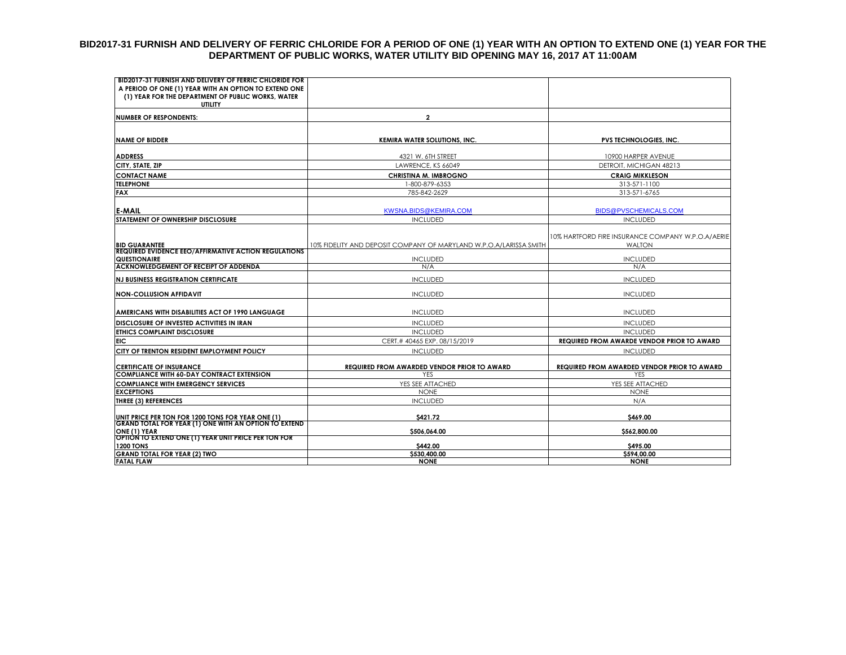#### **BID2017-31 FURNISH AND DELIVERY OF FERRIC CHLORIDE FOR A PERIOD OF ONE (1) YEAR WITH AN OPTION TO EXTEND ONE (1) YEAR FOR THE DEPARTMENT OF PUBLIC WORKS, WATER UTILITY BID OPENING MAY 16, 2017 AT 11:00AM**

| <b>BID2017-31 FURNISH AND DELIVERY OF FERRIC CHLORIDE FOR</b><br>A PERIOD OF ONE (1) YEAR WITH AN OPTION TO EXTEND ONE |                                                                    |                                                                    |
|------------------------------------------------------------------------------------------------------------------------|--------------------------------------------------------------------|--------------------------------------------------------------------|
| (1) YEAR FOR THE DEPARTMENT OF PUBLIC WORKS, WATER<br><b>UTILITY</b>                                                   |                                                                    |                                                                    |
| <b>NUMBER OF RESPONDENTS:</b>                                                                                          | $\mathbf{2}$                                                       |                                                                    |
|                                                                                                                        |                                                                    |                                                                    |
| <b>NAME OF BIDDER</b>                                                                                                  | <b>KEMIRA WATER SOLUTIONS, INC.</b>                                | PVS TECHNOLOGIES, INC.                                             |
| <b>ADDRESS</b>                                                                                                         | 4321 W. 6TH STREET                                                 | 10900 HARPER AVENUE                                                |
| CITY, STATE, ZIP                                                                                                       | LAWRENCE, KS 66049                                                 | DETROIT, MICHIGAN 48213                                            |
| <b>CONTACT NAME</b>                                                                                                    | CHRISTINA M. IMBROGNO                                              | <b>CRAIG MIKKLESON</b>                                             |
| <b>TELEPHONE</b>                                                                                                       | 1-800-879-6353                                                     | 313-571-1100                                                       |
| <b>FAX</b>                                                                                                             | 785-842-2629                                                       | 313-571-6765                                                       |
|                                                                                                                        |                                                                    |                                                                    |
| <b>E-MAIL</b>                                                                                                          | <b>KWSNA.BIDS@KEMIRA.COM</b>                                       | <b>BIDS@PVSCHEMICALS.COM</b>                                       |
| <b>STATEMENT OF OWNERSHIP DISCLOSURE</b>                                                                               | <b>INCLUDED</b>                                                    | <b>INCLUDED</b>                                                    |
| <b>BID GUARANTEE</b>                                                                                                   | 10% FIDELITY AND DEPOSIT COMPANY OF MARYLAND W.P.O.A/LARISSA SMITH | 10% HARTFORD FIRE INSURANCE COMPANY W.P.O.A/AERIE<br><b>WALTON</b> |
| <b>REQUIRED EVIDENCE EEO/AFFIRMATIVE ACTION REGULATIONS</b>                                                            |                                                                    |                                                                    |
| QUESTIONAIRE<br><b>ACKNOWLEDGEMENT OF RECEIPT OF ADDENDA</b>                                                           | <b>INCLUDED</b><br>N/A                                             | <b>INCLUDED</b><br>N/A                                             |
|                                                                                                                        |                                                                    |                                                                    |
| <b>INJ BUSINESS REGISTRATION CERTIFICATE</b>                                                                           | <b>INCLUDED</b>                                                    | <b>INCLUDED</b>                                                    |
| <b>NON-COLLUSION AFFIDAVIT</b>                                                                                         | <b>INCLUDED</b>                                                    | <b>INCLUDED</b>                                                    |
| AMERICANS WITH DISABILITIES ACT OF 1990 LANGUAGE                                                                       | <b>INCLUDED</b>                                                    | <b>INCLUDED</b>                                                    |
| <b>DISCLOSURE OF INVESTED ACTIVITIES IN IRAN</b>                                                                       | <b>INCLUDED</b>                                                    | <b>INCLUDED</b>                                                    |
| <b>ETHICS COMPLAINT DISCLOSURE</b>                                                                                     | <b>INCLUDED</b>                                                    | <b>INCLUDED</b>                                                    |
| <b>EIC</b>                                                                                                             | CERT.# 40465 EXP. 08/15/2019                                       | <b>REQUIRED FROM AWARDE VENDOR PRIOR TO AWARD</b>                  |
| CITY OF TRENTON RESIDENT EMPLOYMENT POLICY                                                                             | <b>INCLUDED</b>                                                    | <b>INCLUDED</b>                                                    |
|                                                                                                                        |                                                                    |                                                                    |
| <b>CERTIFICATE OF INSURANCE</b><br><b>COMPLIANCE WITH 60-DAY CONTRACT EXTENSION</b>                                    | REQUIRED FROM AWARDED VENDOR PRIOR TO AWARD<br><b>YFS</b>          | <b>REQUIRED FROM AWARDED VENDOR PRIOR TO AWARD</b><br><b>YFS</b>   |
| <b>COMPLIANCE WITH EMERGENCY SERVICES</b>                                                                              | YES SEE ATTACHED                                                   | YES SEE ATTACHED                                                   |
| <b>EXCEPTIONS</b>                                                                                                      | <b>NONE</b>                                                        | <b>NONE</b>                                                        |
| THREE (3) REFERENCES                                                                                                   | <b>INCLUDED</b>                                                    | N/A                                                                |
|                                                                                                                        |                                                                    |                                                                    |
| UNIT PRICE PER TON FOR 1200 TONS FOR YEAR ONE (1)                                                                      | S421.72                                                            | S469.00                                                            |
| <b>GRAND TOTAL FOR YEAR (1) ONE WITH AN OPTION TO EXTEND</b>                                                           |                                                                    |                                                                    |
| ONE (1) YEAR<br> OPTION TO EXTEND ONE (1) YEAR UNIT PRICE PER TON FOR                                                  | \$506,064.00                                                       | \$562,800.00                                                       |
| <b>1200 TONS</b>                                                                                                       | \$442.00                                                           | \$495.00                                                           |
| <b>GRAND TOTAL FOR YEAR (2) TWO</b>                                                                                    | \$530,400.00                                                       | \$594,00.00                                                        |
| <b>FATAL FLAW</b>                                                                                                      | <b>NONE</b>                                                        | <b>NONE</b>                                                        |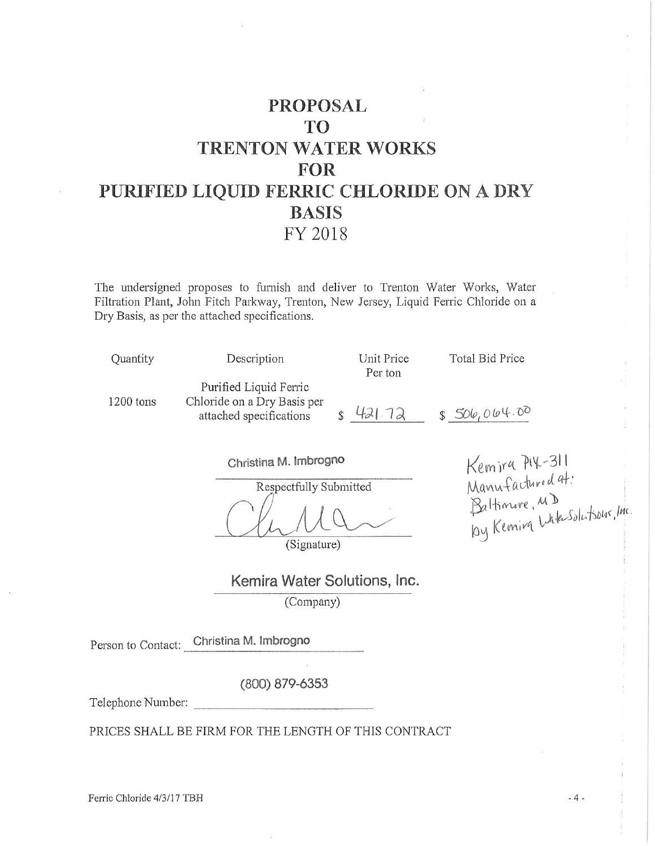# **PROPOSAL** TO<sup>1</sup> **TRENTON WATER WORKS FOR** PURIFIED LIQUID FERRIC CHLORIDE ON A DRY **BASIS** FY 2018

The undersigned proposes to furnish and deliver to Trenton Water Works, Water Filtration Plant, John Fitch Parkway, Trenton, New Jersey, Liquid Ferric Chloride on a Dry Basis, as per the attached specifications.

| Quantity  | Description                 | Unit Price<br>Per ton | Total Bid Price |
|-----------|-----------------------------|-----------------------|-----------------|
|           |                             |                       |                 |
|           | Purified Liquid Ferric      |                       |                 |
| 1200 tons | Chloride on a Dry Basis per |                       |                 |
|           | attached specifications     | 421.72                | \$506.064.00    |

Christina M. Imbrogno

Respectfully Submitted

(Signature)

Kemira PIX-311<br>Manufactured at:<br>Baltimore, MD<br>by Kemira Wite-Solutsour, Inc.

Kemira Water Solutions, Inc. (Company)

Person to Contact: Christina M. Imbrogno

 $(800)$  879-6353

Telephone Number:

PRICES SHALL BE FIRM FOR THE LENGTH OF THIS CONTRACT

Ferric Chloride 4/3/17 TBH

 $-4-$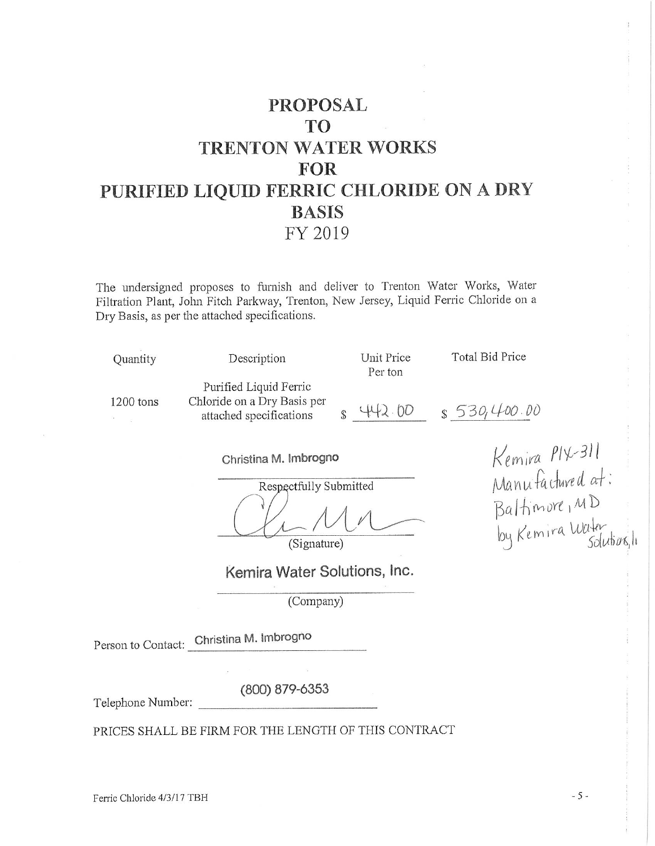# **PROPOSAL** T<sub>O</sub> **TRENTON WATER WORKS** FOR PURIFIED LIQUID FERRIC CHLORIDE ON A DRY **BASIS** FY 2019

The undersigned proposes to furnish and deliver to Trenton Water Works, Water Filtration Plant, John Fitch Parkway, Trenton, New Jersey, Liquid Ferric Chloride on a Dry Basis, as per the attached specifications.

| Quantity                   | Description                                                                      | Unit Price<br>Per ton | Total Bid Price                   |  |
|----------------------------|----------------------------------------------------------------------------------|-----------------------|-----------------------------------|--|
| 1200 tons<br>$\mathcal{A}$ | Purified Liquid Ferric<br>Chloride on a Dry Basis per<br>attached specifications | $+2.00$               | \$530,400.00                      |  |
|                            | Christina M. Imbrogno                                                            |                       | Kemira PIX-311                    |  |
|                            | Respectfully Submitted                                                           |                       | Manufactured at:                  |  |
|                            | (Signature)                                                                      |                       | Baltimore, MD<br>by Kemira Water. |  |

Respectfully Submitted

Kemira Water Solutions, Inc.

(Company)

Person to Contact: Christina M. Imbrogno

(800) 879-6353

Telephone Number:

PRICES SHALL BE FIRM FOR THE LENGTH OF THIS CONTRACT

 $-5-$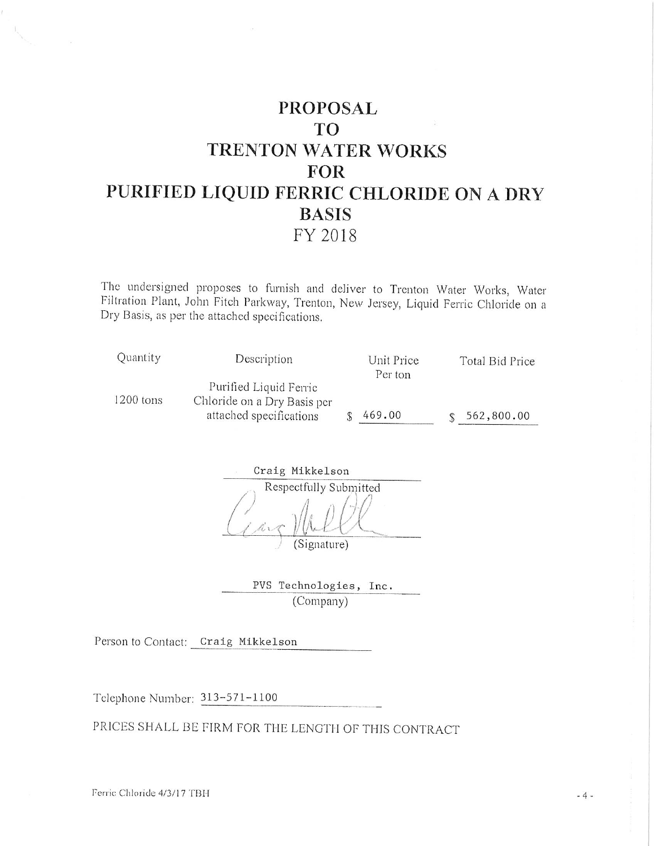# **PROPOSAL TO** TRENTON WATER WORKS **FOR** PURIFIED LIQUID FERRIC CHLORIDE ON A DRY **BASIS** FY 2018

The undersigned proposes to furnish and deliver to Trenton Water Works, Water Filtration Plant, John Fitch Parkway, Trenton, New Jersey, Liquid Ferric Chloride on a Dry Basis, as per the attached specifications.

| Quantity    | Description                 | Unit Price | Total Bid Price |
|-------------|-----------------------------|------------|-----------------|
|             |                             | Per ton    |                 |
|             | Purified Liquid Ferric      |            |                 |
| $1200$ tons | Chloride on a Dry Basis per |            |                 |
|             | attached specifications     | 469.00     | 562,800.00      |

| Craig Mikkelson        |
|------------------------|
| Respectfully Submitted |
|                        |
|                        |
|                        |
| Signature <sup>'</sup> |

| PVS Technologies, Inc. |  |
|------------------------|--|
| (Company)              |  |

Person to Contact: Craig Mikkelson

Telephone Number: 313-571-1100

PRICES SHALL BE FIRM FOR THE LENGTH OF THIS CONTRACT